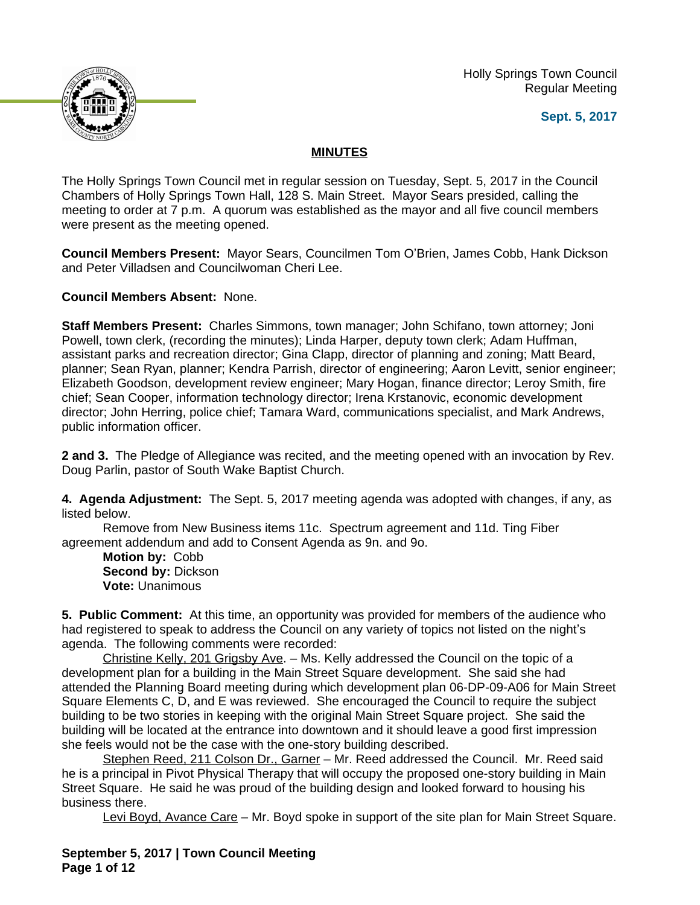Holly Springs Town Council Regular Meeting





## **MINUTES**

The Holly Springs Town Council met in regular session on Tuesday, Sept. 5, 2017 in the Council Chambers of Holly Springs Town Hall, 128 S. Main Street. Mayor Sears presided, calling the meeting to order at 7 p.m. A quorum was established as the mayor and all five council members were present as the meeting opened.

**Council Members Present:** Mayor Sears, Councilmen Tom O'Brien, James Cobb, Hank Dickson and Peter Villadsen and Councilwoman Cheri Lee.

**Council Members Absent:** None.

**Staff Members Present:** Charles Simmons, town manager; John Schifano, town attorney; Joni Powell, town clerk, (recording the minutes); Linda Harper, deputy town clerk; Adam Huffman, assistant parks and recreation director; Gina Clapp, director of planning and zoning; Matt Beard, planner; Sean Ryan, planner; Kendra Parrish, director of engineering; Aaron Levitt, senior engineer; Elizabeth Goodson, development review engineer; Mary Hogan, finance director; Leroy Smith, fire chief; Sean Cooper, information technology director; Irena Krstanovic, economic development director; John Herring, police chief; Tamara Ward, communications specialist, and Mark Andrews, public information officer.

**2 and 3.** The Pledge of Allegiance was recited, and the meeting opened with an invocation by Rev. Doug Parlin, pastor of South Wake Baptist Church.

**4. Agenda Adjustment:** The Sept. 5, 2017 meeting agenda was adopted with changes, if any, as listed below.

Remove from New Business items 11c. Spectrum agreement and 11d. Ting Fiber agreement addendum and add to Consent Agenda as 9n. and 9o.

**Motion by:** Cobb **Second by:** Dickson **Vote:** Unanimous

**5. Public Comment:** At this time, an opportunity was provided for members of the audience who had registered to speak to address the Council on any variety of topics not listed on the night's agenda. The following comments were recorded:

Christine Kelly, 201 Grigsby Ave. – Ms. Kelly addressed the Council on the topic of a development plan for a building in the Main Street Square development. She said she had attended the Planning Board meeting during which development plan 06-DP-09-A06 for Main Street Square Elements C, D, and E was reviewed. She encouraged the Council to require the subject building to be two stories in keeping with the original Main Street Square project. She said the building will be located at the entrance into downtown and it should leave a good first impression she feels would not be the case with the one-story building described.

Stephen Reed, 211 Colson Dr., Garner – Mr. Reed addressed the Council. Mr. Reed said he is a principal in Pivot Physical Therapy that will occupy the proposed one-story building in Main Street Square. He said he was proud of the building design and looked forward to housing his business there.

Levi Boyd, Avance Care – Mr. Boyd spoke in support of the site plan for Main Street Square.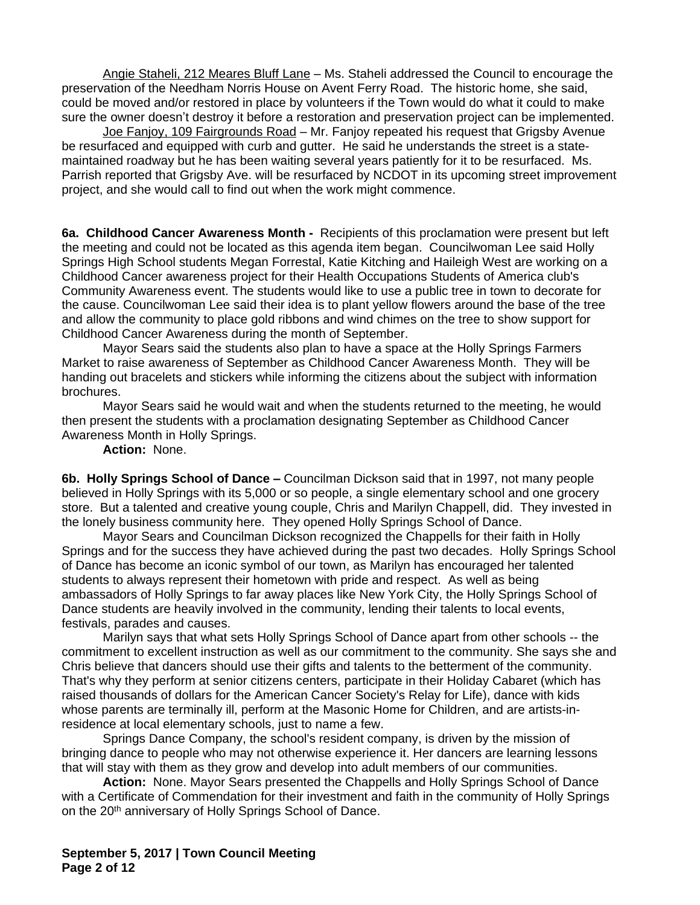Angie Staheli, 212 Meares Bluff Lane – Ms. Staheli addressed the Council to encourage the preservation of the Needham Norris House on Avent Ferry Road. The historic home, she said, could be moved and/or restored in place by volunteers if the Town would do what it could to make sure the owner doesn't destroy it before a restoration and preservation project can be implemented.

Joe Fanjoy, 109 Fairgrounds Road - Mr. Fanjoy repeated his request that Grigsby Avenue be resurfaced and equipped with curb and gutter. He said he understands the street is a statemaintained roadway but he has been waiting several years patiently for it to be resurfaced. Ms. Parrish reported that Grigsby Ave. will be resurfaced by NCDOT in its upcoming street improvement project, and she would call to find out when the work might commence.

**6a. Childhood Cancer Awareness Month -** Recipients of this proclamation were present but left the meeting and could not be located as this agenda item began. Councilwoman Lee said Holly Springs High School students Megan Forrestal, Katie Kitching and Haileigh West are working on a Childhood Cancer awareness project for their Health Occupations Students of America club's Community Awareness event. The students would like to use a public tree in town to decorate for the cause. Councilwoman Lee said their idea is to plant yellow flowers around the base of the tree and allow the community to place gold ribbons and wind chimes on the tree to show support for Childhood Cancer Awareness during the month of September.

Mayor Sears said the students also plan to have a space at the Holly Springs Farmers Market to raise awareness of September as Childhood Cancer Awareness Month. They will be handing out bracelets and stickers while informing the citizens about the subject with information brochures.

Mayor Sears said he would wait and when the students returned to the meeting, he would then present the students with a proclamation designating September as Childhood Cancer Awareness Month in Holly Springs.

**Action:** None.

**6b. Holly Springs School of Dance –** Councilman Dickson said that in 1997, not many people believed in Holly Springs with its 5,000 or so people, a single elementary school and one grocery store. But a talented and creative young couple, Chris and Marilyn Chappell, did. They invested in the lonely business community here. They opened Holly Springs School of Dance.

Mayor Sears and Councilman Dickson recognized the Chappells for their faith in Holly Springs and for the success they have achieved during the past two decades. Holly Springs School of Dance has become an iconic symbol of our town, as Marilyn has encouraged her talented students to always represent their hometown with pride and respect. As well as being ambassadors of Holly Springs to far away places like New York City, the Holly Springs School of Dance students are heavily involved in the community, lending their talents to local events, festivals, parades and causes.

Marilyn says that what sets Holly Springs School of Dance apart from other schools -- the commitment to excellent instruction as well as our commitment to the community. She says she and Chris believe that dancers should use their gifts and talents to the betterment of the community. That's why they perform at senior citizens centers, participate in their Holiday Cabaret (which has raised thousands of dollars for the American Cancer Society's Relay for Life), dance with kids whose parents are terminally ill, perform at the Masonic Home for Children, and are artists-inresidence at local elementary schools, just to name a few.

Springs Dance Company, the school's resident company, is driven by the mission of bringing dance to people who may not otherwise experience it. Her dancers are learning lessons that will stay with them as they grow and develop into adult members of our communities.

**Action:** None. Mayor Sears presented the Chappells and Holly Springs School of Dance with a Certificate of Commendation for their investment and faith in the community of Holly Springs on the 20<sup>th</sup> anniversary of Holly Springs School of Dance.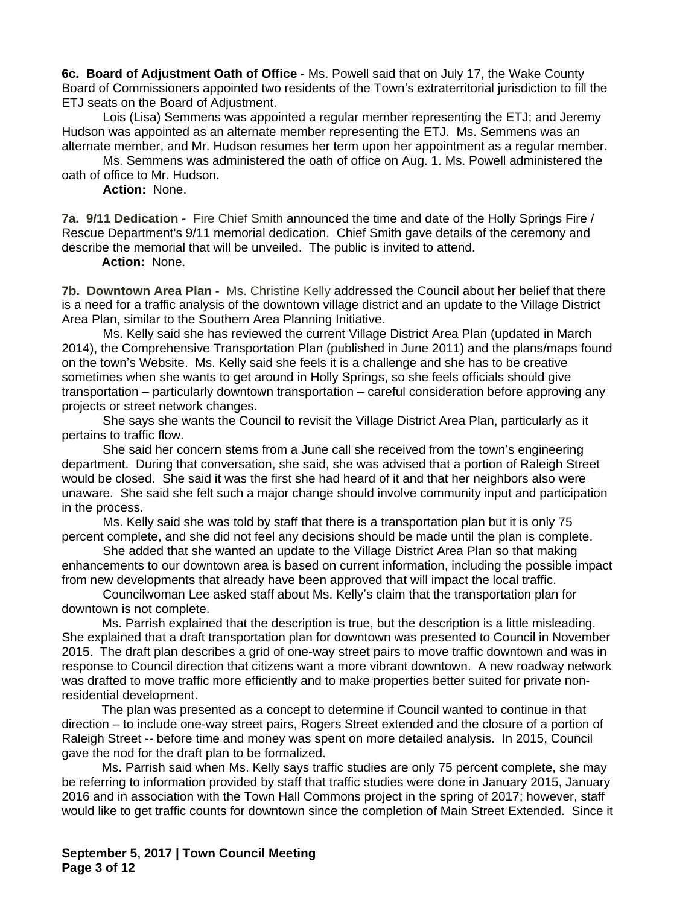**6c. Board of Adjustment Oath of Office -** Ms. Powell said that on July 17, the Wake County Board of Commissioners appointed two residents of the Town's extraterritorial jurisdiction to fill the ETJ seats on the Board of Adjustment.

Lois (Lisa) Semmens was appointed a regular member representing the ETJ; and Jeremy Hudson was appointed as an alternate member representing the ETJ. Ms. Semmens was an alternate member, and Mr. Hudson resumes her term upon her appointment as a regular member.

Ms. Semmens was administered the oath of office on Aug. 1. Ms. Powell administered the oath of office to Mr. Hudson.

**Action:** None.

**7a. 9/11 Dedication -** Fire Chief Smith announced the time and date of the Holly Springs Fire / Rescue Department's 9/11 memorial dedication. Chief Smith gave details of the ceremony and describe the memorial that will be unveiled. The public is invited to attend.

**Action:** None.

**7b. Downtown Area Plan -** Ms. Christine Kelly addressed the Council about her belief that there is a need for a traffic analysis of the downtown village district and an update to the Village District Area Plan, similar to the Southern Area Planning Initiative.

Ms. Kelly said she has reviewed the current Village District Area Plan (updated in March 2014), the Comprehensive Transportation Plan (published in June 2011) and the plans/maps found on the town's Website. Ms. Kelly said she feels it is a challenge and she has to be creative sometimes when she wants to get around in Holly Springs, so she feels officials should give transportation – particularly downtown transportation – careful consideration before approving any projects or street network changes.

She says she wants the Council to revisit the Village District Area Plan, particularly as it pertains to traffic flow.

She said her concern stems from a June call she received from the town's engineering department. During that conversation, she said, she was advised that a portion of Raleigh Street would be closed. She said it was the first she had heard of it and that her neighbors also were unaware. She said she felt such a major change should involve community input and participation in the process.

Ms. Kelly said she was told by staff that there is a transportation plan but it is only 75 percent complete, and she did not feel any decisions should be made until the plan is complete.

She added that she wanted an update to the Village District Area Plan so that making enhancements to our downtown area is based on current information, including the possible impact from new developments that already have been approved that will impact the local traffic.

Councilwoman Lee asked staff about Ms. Kelly's claim that the transportation plan for downtown is not complete.

Ms. Parrish explained that the description is true, but the description is a little misleading. She explained that a draft transportation plan for downtown was presented to Council in November 2015. The draft plan describes a grid of one-way street pairs to move traffic downtown and was in response to Council direction that citizens want a more vibrant downtown. A new roadway network was drafted to move traffic more efficiently and to make properties better suited for private nonresidential development.

The plan was presented as a concept to determine if Council wanted to continue in that direction – to include one-way street pairs, Rogers Street extended and the closure of a portion of Raleigh Street -- before time and money was spent on more detailed analysis. In 2015, Council gave the nod for the draft plan to be formalized.

Ms. Parrish said when Ms. Kelly says traffic studies are only 75 percent complete, she may be referring to information provided by staff that traffic studies were done in January 2015, January 2016 and in association with the Town Hall Commons project in the spring of 2017; however, staff would like to get traffic counts for downtown since the completion of Main Street Extended. Since it

**September 5, 2017 | Town Council Meeting Page 3 of 12**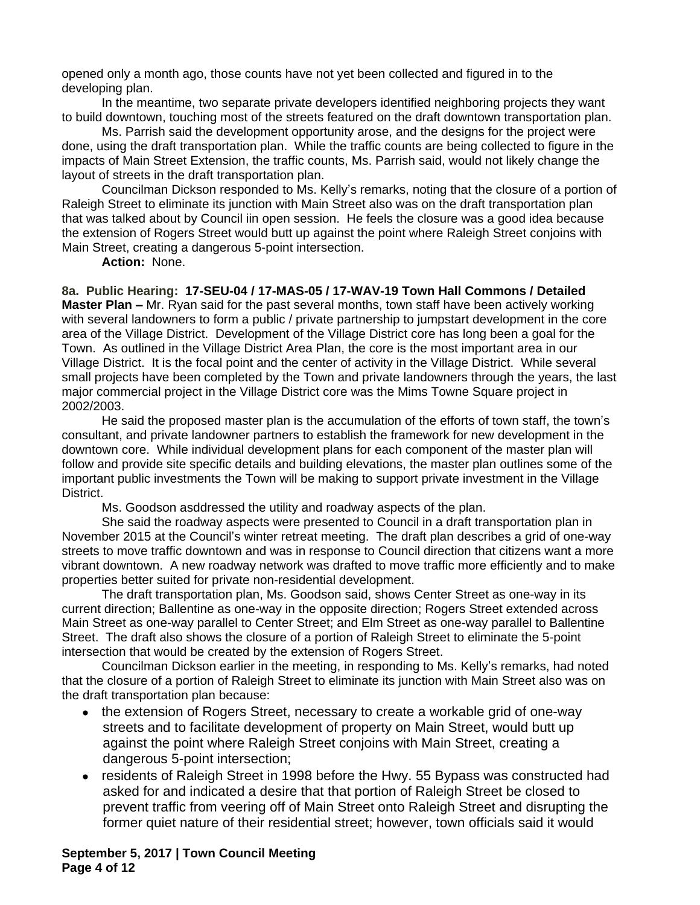opened only a month ago, those counts have not yet been collected and figured in to the developing plan.

In the meantime, two separate private developers identified neighboring projects they want to build downtown, touching most of the streets featured on the draft downtown transportation plan.

Ms. Parrish said the development opportunity arose, and the designs for the project were done, using the draft transportation plan. While the traffic counts are being collected to figure in the impacts of Main Street Extension, the traffic counts, Ms. Parrish said, would not likely change the layout of streets in the draft transportation plan.

Councilman Dickson responded to Ms. Kelly's remarks, noting that the closure of a portion of Raleigh Street to eliminate its junction with Main Street also was on the draft transportation plan that was talked about by Council iin open session. He feels the closure was a good idea because the extension of Rogers Street would butt up against the point where Raleigh Street conjoins with Main Street, creating a dangerous 5-point intersection.

**Action:** None.

**8a. Public Hearing: 17-SEU-04 / 17-MAS-05 / 17-WAV-19 Town Hall Commons / Detailed Master Plan –** Mr. Ryan said for the past several months, town staff have been actively working with several landowners to form a public / private partnership to jumpstart development in the core area of the Village District. Development of the Village District core has long been a goal for the Town. As outlined in the Village District Area Plan, the core is the most important area in our Village District. It is the focal point and the center of activity in the Village District. While several small projects have been completed by the Town and private landowners through the years, the last major commercial project in the Village District core was the Mims Towne Square project in 2002/2003.

He said the proposed master plan is the accumulation of the efforts of town staff, the town's consultant, and private landowner partners to establish the framework for new development in the downtown core. While individual development plans for each component of the master plan will follow and provide site specific details and building elevations, the master plan outlines some of the important public investments the Town will be making to support private investment in the Village District.

Ms. Goodson asddressed the utility and roadway aspects of the plan.

She said the roadway aspects were presented to Council in a draft transportation plan in November 2015 at the Council's winter retreat meeting. The draft plan describes a grid of one-way streets to move traffic downtown and was in response to Council direction that citizens want a more vibrant downtown. A new roadway network was drafted to move traffic more efficiently and to make properties better suited for private non-residential development.

The draft transportation plan, Ms. Goodson said, shows Center Street as one-way in its current direction; Ballentine as one-way in the opposite direction; Rogers Street extended across Main Street as one-way parallel to Center Street; and Elm Street as one-way parallel to Ballentine Street. The draft also shows the closure of a portion of Raleigh Street to eliminate the 5-point intersection that would be created by the extension of Rogers Street.

Councilman Dickson earlier in the meeting, in responding to Ms. Kelly's remarks, had noted that the closure of a portion of Raleigh Street to eliminate its junction with Main Street also was on the draft transportation plan because:

- the extension of Rogers Street, necessary to create a workable grid of one-way streets and to facilitate development of property on Main Street, would butt up against the point where Raleigh Street conjoins with Main Street, creating a dangerous 5-point intersection;
- residents of Raleigh Street in 1998 before the Hwy. 55 Bypass was constructed had asked for and indicated a desire that that portion of Raleigh Street be closed to prevent traffic from veering off of Main Street onto Raleigh Street and disrupting the former quiet nature of their residential street; however, town officials said it would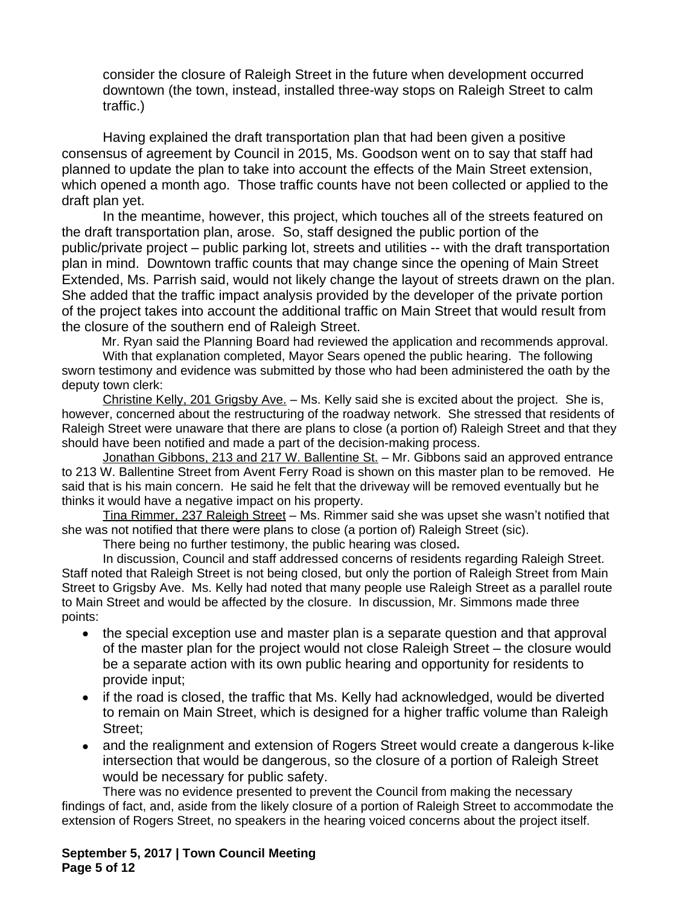consider the closure of Raleigh Street in the future when development occurred downtown (the town, instead, installed three-way stops on Raleigh Street to calm traffic.)

Having explained the draft transportation plan that had been given a positive consensus of agreement by Council in 2015, Ms. Goodson went on to say that staff had planned to update the plan to take into account the effects of the Main Street extension, which opened a month ago. Those traffic counts have not been collected or applied to the draft plan yet.

In the meantime, however, this project, which touches all of the streets featured on the draft transportation plan, arose. So, staff designed the public portion of the public/private project – public parking lot, streets and utilities -- with the draft transportation plan in mind. Downtown traffic counts that may change since the opening of Main Street Extended, Ms. Parrish said, would not likely change the layout of streets drawn on the plan. She added that the traffic impact analysis provided by the developer of the private portion of the project takes into account the additional traffic on Main Street that would result from the closure of the southern end of Raleigh Street.

Mr. Ryan said the Planning Board had reviewed the application and recommends approval.

With that explanation completed, Mayor Sears opened the public hearing. The following sworn testimony and evidence was submitted by those who had been administered the oath by the deputy town clerk:

Christine Kelly, 201 Grigsby Ave. – Ms. Kelly said she is excited about the project. She is, however, concerned about the restructuring of the roadway network. She stressed that residents of Raleigh Street were unaware that there are plans to close (a portion of) Raleigh Street and that they should have been notified and made a part of the decision-making process.

Jonathan Gibbons, 213 and 217 W. Ballentine St. - Mr. Gibbons said an approved entrance to 213 W. Ballentine Street from Avent Ferry Road is shown on this master plan to be removed. He said that is his main concern. He said he felt that the driveway will be removed eventually but he thinks it would have a negative impact on his property.

Tina Rimmer, 237 Raleigh Street – Ms. Rimmer said she was upset she wasn't notified that she was not notified that there were plans to close (a portion of) Raleigh Street (sic).

There being no further testimony, the public hearing was closed**.**

In discussion, Council and staff addressed concerns of residents regarding Raleigh Street. Staff noted that Raleigh Street is not being closed, but only the portion of Raleigh Street from Main Street to Grigsby Ave. Ms. Kelly had noted that many people use Raleigh Street as a parallel route to Main Street and would be affected by the closure. In discussion, Mr. Simmons made three points:

- the special exception use and master plan is a separate question and that approval of the master plan for the project would not close Raleigh Street – the closure would be a separate action with its own public hearing and opportunity for residents to provide input;
- if the road is closed, the traffic that Ms. Kelly had acknowledged, would be diverted to remain on Main Street, which is designed for a higher traffic volume than Raleigh Street;
- and the realignment and extension of Rogers Street would create a dangerous k-like intersection that would be dangerous, so the closure of a portion of Raleigh Street would be necessary for public safety.

There was no evidence presented to prevent the Council from making the necessary findings of fact, and, aside from the likely closure of a portion of Raleigh Street to accommodate the extension of Rogers Street, no speakers in the hearing voiced concerns about the project itself.

**September 5, 2017 | Town Council Meeting Page 5 of 12**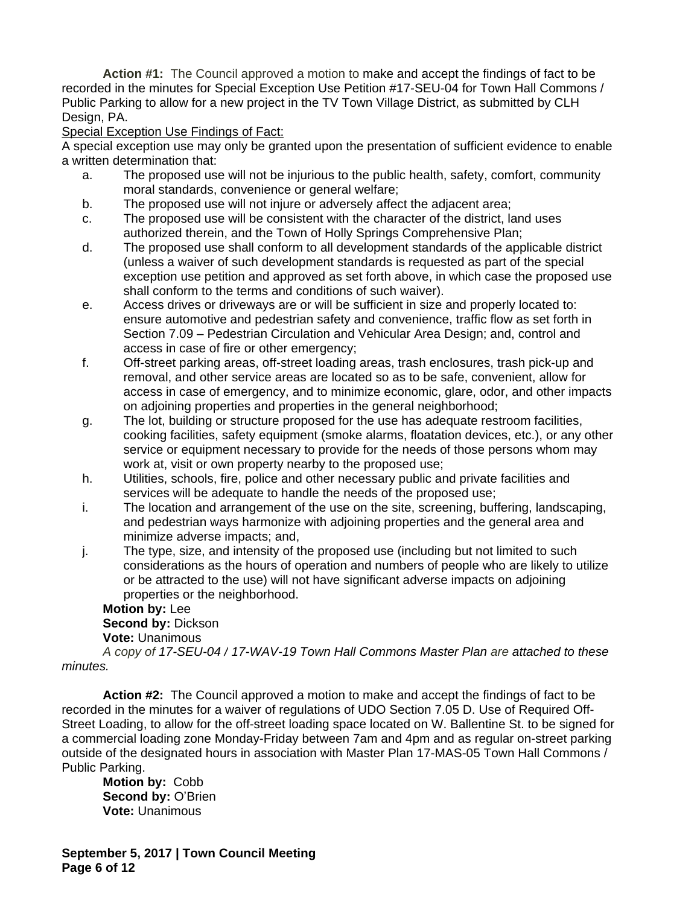**Action #1:** The Council approved a motion to make and accept the findings of fact to be recorded in the minutes for Special Exception Use Petition #17-SEU-04 for Town Hall Commons / Public Parking to allow for a new project in the TV Town Village District, as submitted by CLH Design, PA.

## Special Exception Use Findings of Fact:

A special exception use may only be granted upon the presentation of sufficient evidence to enable a written determination that:

- a. The proposed use will not be injurious to the public health, safety, comfort, community moral standards, convenience or general welfare;
- b. The proposed use will not injure or adversely affect the adjacent area;
- c. The proposed use will be consistent with the character of the district, land uses authorized therein, and the Town of Holly Springs Comprehensive Plan;
- d. The proposed use shall conform to all development standards of the applicable district (unless a waiver of such development standards is requested as part of the special exception use petition and approved as set forth above, in which case the proposed use shall conform to the terms and conditions of such waiver).
- e. Access drives or driveways are or will be sufficient in size and properly located to: ensure automotive and pedestrian safety and convenience, traffic flow as set forth in Section 7.09 – Pedestrian Circulation and Vehicular Area Design; and, control and access in case of fire or other emergency;
- f. Off-street parking areas, off-street loading areas, trash enclosures, trash pick-up and removal, and other service areas are located so as to be safe, convenient, allow for access in case of emergency, and to minimize economic, glare, odor, and other impacts on adjoining properties and properties in the general neighborhood;
- g. The lot, building or structure proposed for the use has adequate restroom facilities, cooking facilities, safety equipment (smoke alarms, floatation devices, etc.), or any other service or equipment necessary to provide for the needs of those persons whom may work at, visit or own property nearby to the proposed use;
- h. Utilities, schools, fire, police and other necessary public and private facilities and services will be adequate to handle the needs of the proposed use;
- i. The location and arrangement of the use on the site, screening, buffering, landscaping, and pedestrian ways harmonize with adjoining properties and the general area and minimize adverse impacts; and,
- j. The type, size, and intensity of the proposed use (including but not limited to such considerations as the hours of operation and numbers of people who are likely to utilize or be attracted to the use) will not have significant adverse impacts on adjoining properties or the neighborhood.

## **Motion by:** Lee **Second by:** Dickson **Vote:** Unanimous

*A copy of 17-SEU-04 / 17-WAV-19 Town Hall Commons Master Plan are attached to these minutes.*

**Action #2:** The Council approved a motion to make and accept the findings of fact to be recorded in the minutes for a waiver of regulations of UDO Section 7.05 D. Use of Required Off-Street Loading, to allow for the off-street loading space located on W. Ballentine St. to be signed for a commercial loading zone Monday-Friday between 7am and 4pm and as regular on-street parking outside of the designated hours in association with Master Plan 17-MAS-05 Town Hall Commons / Public Parking.

**Motion by:** Cobb **Second by: O'Brien Vote:** Unanimous

**September 5, 2017 | Town Council Meeting Page 6 of 12**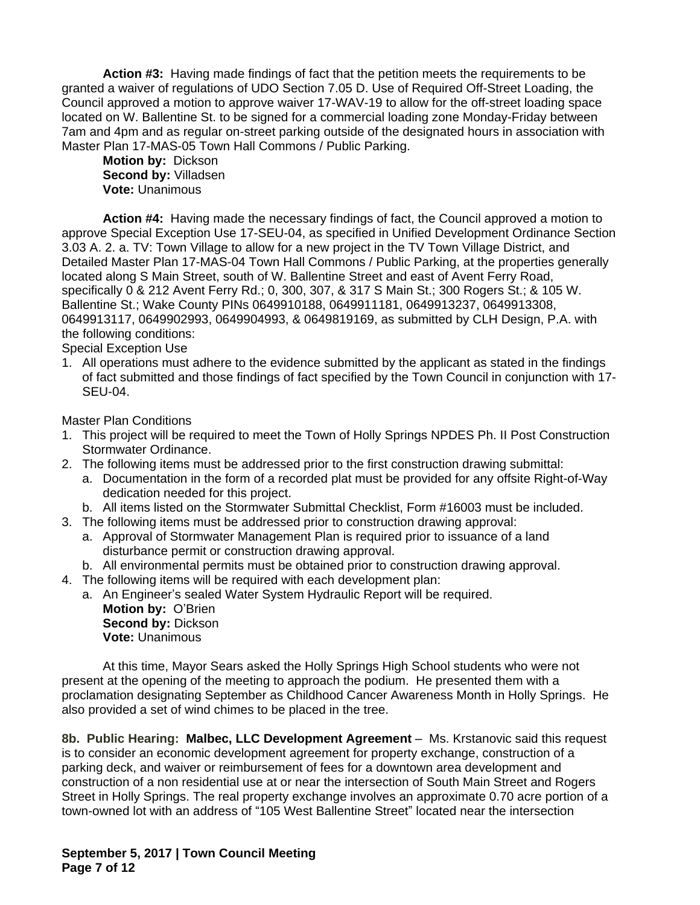**Action #3:** Having made findings of fact that the petition meets the requirements to be granted a waiver of regulations of UDO Section 7.05 D. Use of Required Off-Street Loading, the Council approved a motion to approve waiver 17-WAV-19 to allow for the off-street loading space located on W. Ballentine St. to be signed for a commercial loading zone Monday-Friday between 7am and 4pm and as regular on-street parking outside of the designated hours in association with Master Plan 17-MAS-05 Town Hall Commons / Public Parking.

**Motion by:** Dickson **Second by:** Villadsen **Vote:** Unanimous

**Action #4:** Having made the necessary findings of fact, the Council approved a motion to approve Special Exception Use 17-SEU-04, as specified in Unified Development Ordinance Section 3.03 A. 2. a. TV: Town Village to allow for a new project in the TV Town Village District, and Detailed Master Plan 17-MAS-04 Town Hall Commons / Public Parking, at the properties generally located along S Main Street, south of W. Ballentine Street and east of Avent Ferry Road, specifically 0 & 212 Avent Ferry Rd.; 0, 300, 307, & 317 S Main St.; 300 Rogers St.; & 105 W. Ballentine St.; Wake County PINs 0649910188, 0649911181, 0649913237, 0649913308, 0649913117, 0649902993, 0649904993, & 0649819169, as submitted by CLH Design, P.A. with the following conditions:

Special Exception Use

1. All operations must adhere to the evidence submitted by the applicant as stated in the findings of fact submitted and those findings of fact specified by the Town Council in conjunction with 17- SEU-04.

Master Plan Conditions

- 1. This project will be required to meet the Town of Holly Springs NPDES Ph. II Post Construction Stormwater Ordinance.
- 2. The following items must be addressed prior to the first construction drawing submittal:
	- a. Documentation in the form of a recorded plat must be provided for any offsite Right-of-Way dedication needed for this project.
	- b. All items listed on the Stormwater Submittal Checklist, Form #16003 must be included.
- 3. The following items must be addressed prior to construction drawing approval:
	- a. Approval of Stormwater Management Plan is required prior to issuance of a land disturbance permit or construction drawing approval.
	- b. All environmental permits must be obtained prior to construction drawing approval.
- 4. The following items will be required with each development plan:
	- a. An Engineer's sealed Water System Hydraulic Report will be required. **Motion by:** O'Brien **Second by:** Dickson **Vote:** Unanimous

At this time, Mayor Sears asked the Holly Springs High School students who were not present at the opening of the meeting to approach the podium. He presented them with a proclamation designating September as Childhood Cancer Awareness Month in Holly Springs. He also provided a set of wind chimes to be placed in the tree.

**8b. Public Hearing: Malbec, LLC Development Agreement** – Ms. Krstanovic said this request is to consider an economic development agreement for property exchange, construction of a parking deck, and waiver or reimbursement of fees for a downtown area development and construction of a non residential use at or near the intersection of South Main Street and Rogers Street in Holly Springs. The real property exchange involves an approximate 0.70 acre portion of a town-owned lot with an address of "105 West Ballentine Street" located near the intersection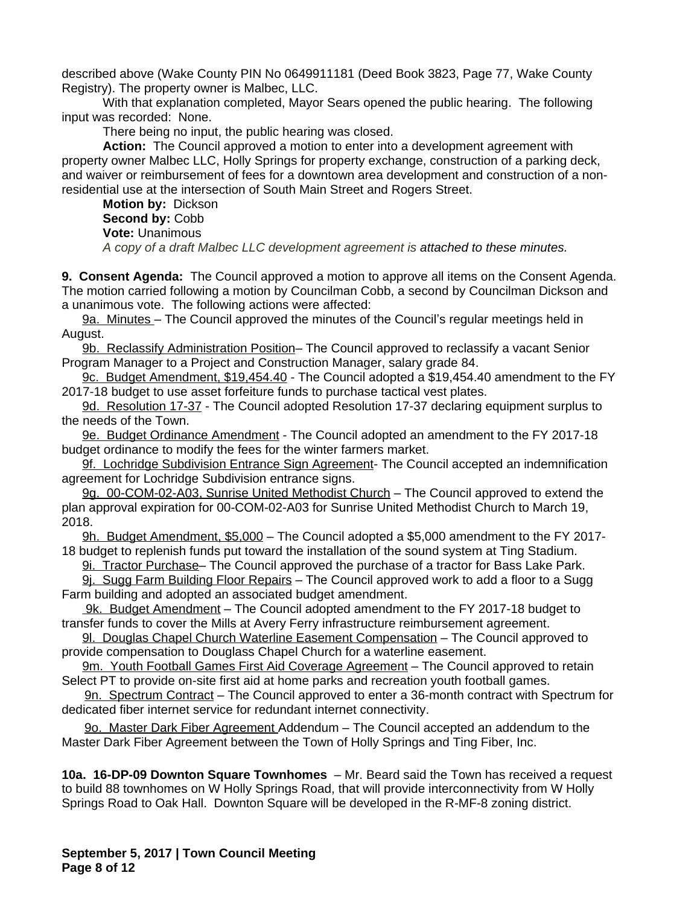described above (Wake County PIN No 0649911181 (Deed Book 3823, Page 77, Wake County Registry). The property owner is Malbec, LLC.

With that explanation completed, Mayor Sears opened the public hearing. The following input was recorded: None.

There being no input, the public hearing was closed.

**Action:** The Council approved a motion to enter into a development agreement with property owner Malbec LLC, Holly Springs for property exchange, construction of a parking deck, and waiver or reimbursement of fees for a downtown area development and construction of a nonresidential use at the intersection of South Main Street and Rogers Street.

**Motion by:** Dickson **Second by:** Cobb **Vote:** Unanimous *A copy of a draft Malbec LLC development agreement is attached to these minutes.*

**9. Consent Agenda:** The Council approved a motion to approve all items on the Consent Agenda. The motion carried following a motion by Councilman Cobb, a second by Councilman Dickson and a unanimous vote. The following actions were affected:

9a. Minutes – The Council approved the minutes of the Council's regular meetings held in August.

9b. Reclassify Administration Position– The Council approved to reclassify a vacant Senior Program Manager to a Project and Construction Manager, salary grade 84.

9c. Budget Amendment, \$19,454.40 - The Council adopted a \$19,454.40 amendment to the FY 2017-18 budget to use asset forfeiture funds to purchase tactical vest plates.

9d. Resolution 17-37 - The Council adopted Resolution 17-37 declaring equipment surplus to the needs of the Town.

9e. Budget Ordinance Amendment - The Council adopted an amendment to the FY 2017-18 budget ordinance to modify the fees for the winter farmers market.

9f. Lochridge Subdivision Entrance Sign Agreement- The Council accepted an indemnification agreement for Lochridge Subdivision entrance signs.

9g. 00-COM-02-A03, Sunrise United Methodist Church – The Council approved to extend the plan approval expiration for 00-COM-02-A03 for Sunrise United Methodist Church to March 19, 2018.

9h. Budget Amendment, \$5,000 – The Council adopted a \$5,000 amendment to the FY 2017- 18 budget to replenish funds put toward the installation of the sound system at Ting Stadium.

9i. Tractor Purchase– The Council approved the purchase of a tractor for Bass Lake Park.

9j. Sugg Farm Building Floor Repairs – The Council approved work to add a floor to a Sugg Farm building and adopted an associated budget amendment.

 9k. Budget Amendment – The Council adopted amendment to the FY 2017-18 budget to transfer funds to cover the Mills at Avery Ferry infrastructure reimbursement agreement.

9l. Douglas Chapel Church Waterline Easement Compensation – The Council approved to provide compensation to Douglass Chapel Church for a waterline easement.

9m. Youth Football Games First Aid Coverage Agreement – The Council approved to retain Select PT to provide on-site first aid at home parks and recreation youth football games.

9n. Spectrum Contract – The Council approved to enter a 36-month contract with Spectrum for dedicated fiber internet service for redundant internet connectivity.

9o. Master Dark Fiber Agreement Addendum – The Council accepted an addendum to the Master Dark Fiber Agreement between the Town of Holly Springs and Ting Fiber, Inc.

**10a. 16-DP-09 Downton Square Townhomes** – Mr. Beard said the Town has received a request to build 88 townhomes on W Holly Springs Road, that will provide interconnectivity from W Holly Springs Road to Oak Hall. Downton Square will be developed in the R-MF-8 zoning district.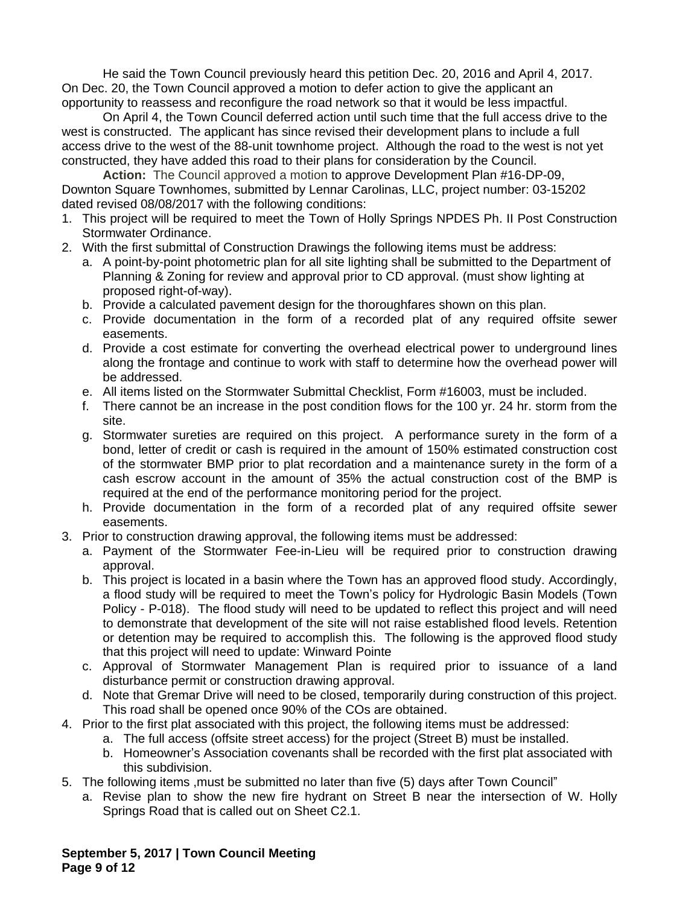He said the Town Council previously heard this petition Dec. 20, 2016 and April 4, 2017. On Dec. 20, the Town Council approved a motion to defer action to give the applicant an opportunity to reassess and reconfigure the road network so that it would be less impactful.

On April 4, the Town Council deferred action until such time that the full access drive to the west is constructed. The applicant has since revised their development plans to include a full access drive to the west of the 88-unit townhome project. Although the road to the west is not yet constructed, they have added this road to their plans for consideration by the Council.

**Action:** The Council approved a motion to approve Development Plan #16-DP-09, Downton Square Townhomes, submitted by Lennar Carolinas, LLC, project number: 03-15202 dated revised 08/08/2017 with the following conditions:

- 1. This project will be required to meet the Town of Holly Springs NPDES Ph. II Post Construction Stormwater Ordinance.
- 2. With the first submittal of Construction Drawings the following items must be address:
	- a. A point-by-point photometric plan for all site lighting shall be submitted to the Department of Planning & Zoning for review and approval prior to CD approval. (must show lighting at proposed right-of-way).
	- b. Provide a calculated pavement design for the thoroughfares shown on this plan.
	- c. Provide documentation in the form of a recorded plat of any required offsite sewer easements.
	- d. Provide a cost estimate for converting the overhead electrical power to underground lines along the frontage and continue to work with staff to determine how the overhead power will be addressed.
	- e. All items listed on the Stormwater Submittal Checklist, Form #16003, must be included.
	- f. There cannot be an increase in the post condition flows for the 100 yr. 24 hr. storm from the site.
	- g. Stormwater sureties are required on this project. A performance surety in the form of a bond, letter of credit or cash is required in the amount of 150% estimated construction cost of the stormwater BMP prior to plat recordation and a maintenance surety in the form of a cash escrow account in the amount of 35% the actual construction cost of the BMP is required at the end of the performance monitoring period for the project.
	- h. Provide documentation in the form of a recorded plat of any required offsite sewer easements.
- 3. Prior to construction drawing approval, the following items must be addressed:
	- a. Payment of the Stormwater Fee-in-Lieu will be required prior to construction drawing approval.
	- b. This project is located in a basin where the Town has an approved flood study. Accordingly, a flood study will be required to meet the Town's policy for Hydrologic Basin Models (Town Policy - P-018). The flood study will need to be updated to reflect this project and will need to demonstrate that development of the site will not raise established flood levels. Retention or detention may be required to accomplish this. The following is the approved flood study that this project will need to update: Winward Pointe
	- c. Approval of Stormwater Management Plan is required prior to issuance of a land disturbance permit or construction drawing approval.
	- d. Note that Gremar Drive will need to be closed, temporarily during construction of this project. This road shall be opened once 90% of the COs are obtained.
- 4. Prior to the first plat associated with this project, the following items must be addressed:
	- a. The full access (offsite street access) for the project (Street B) must be installed.
	- b. Homeowner's Association covenants shall be recorded with the first plat associated with this subdivision.
- 5. The following items ,must be submitted no later than five (5) days after Town Council"
	- a. Revise plan to show the new fire hydrant on Street B near the intersection of W. Holly Springs Road that is called out on Sheet C2.1.

**September 5, 2017 | Town Council Meeting Page 9 of 12**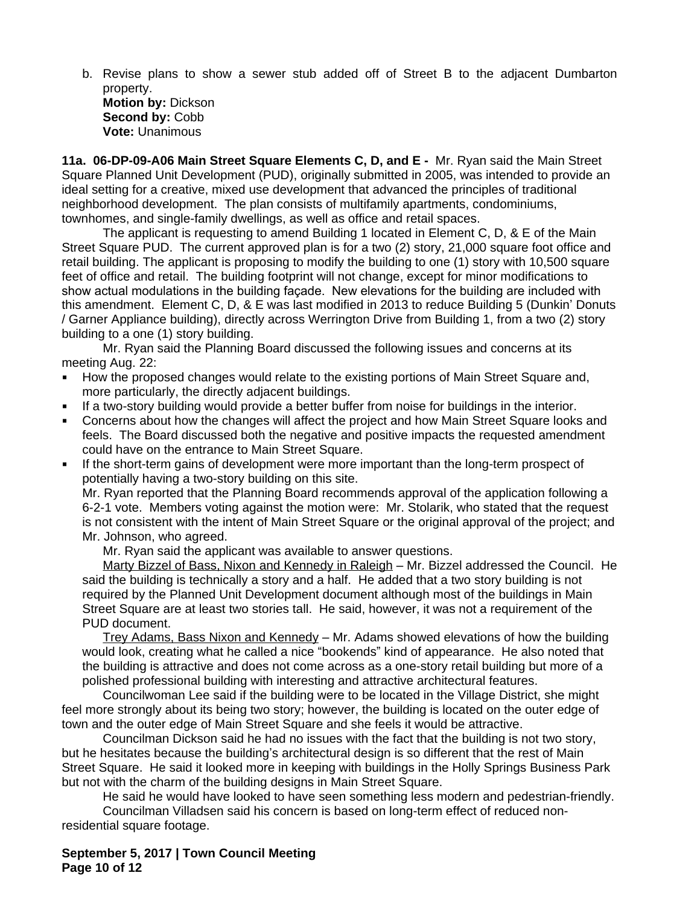b. Revise plans to show a sewer stub added off of Street B to the adjacent Dumbarton property. **Motion by:** Dickson Second by: Cobb **Vote:** Unanimous

**11a. 06-DP-09-A06 Main Street Square Elements C, D, and E -** Mr. Ryan said the Main Street Square Planned Unit Development (PUD), originally submitted in 2005, was intended to provide an ideal setting for a creative, mixed use development that advanced the principles of traditional neighborhood development. The plan consists of multifamily apartments, condominiums, townhomes, and single-family dwellings, as well as office and retail spaces.

The applicant is requesting to amend Building 1 located in Element C, D, & E of the Main Street Square PUD. The current approved plan is for a two (2) story, 21,000 square foot office and retail building. The applicant is proposing to modify the building to one (1) story with 10,500 square feet of office and retail. The building footprint will not change, except for minor modifications to show actual modulations in the building façade. New elevations for the building are included with this amendment. Element C, D, & E was last modified in 2013 to reduce Building 5 (Dunkin' Donuts / Garner Appliance building), directly across Werrington Drive from Building 1, from a two (2) story building to a one (1) story building.

Mr. Ryan said the Planning Board discussed the following issues and concerns at its meeting Aug. 22:

- How the proposed changes would relate to the existing portions of Main Street Square and, more particularly, the directly adjacent buildings.
- If a two-story building would provide a better buffer from noise for buildings in the interior.
- Concerns about how the changes will affect the project and how Main Street Square looks and feels. The Board discussed both the negative and positive impacts the requested amendment could have on the entrance to Main Street Square.
- If the short-term gains of development were more important than the long-term prospect of potentially having a two-story building on this site.

Mr. Ryan reported that the Planning Board recommends approval of the application following a 6-2-1 vote. Members voting against the motion were: Mr. Stolarik, who stated that the request is not consistent with the intent of Main Street Square or the original approval of the project; and Mr. Johnson, who agreed.

Mr. Ryan said the applicant was available to answer questions.

Marty Bizzel of Bass, Nixon and Kennedy in Raleigh - Mr. Bizzel addressed the Council. He said the building is technically a story and a half. He added that a two story building is not required by the Planned Unit Development document although most of the buildings in Main Street Square are at least two stories tall. He said, however, it was not a requirement of the PUD document.

Trey Adams, Bass Nixon and Kennedy - Mr. Adams showed elevations of how the building would look, creating what he called a nice "bookends" kind of appearance. He also noted that the building is attractive and does not come across as a one-story retail building but more of a polished professional building with interesting and attractive architectural features.

Councilwoman Lee said if the building were to be located in the Village District, she might feel more strongly about its being two story; however, the building is located on the outer edge of town and the outer edge of Main Street Square and she feels it would be attractive.

Councilman Dickson said he had no issues with the fact that the building is not two story, but he hesitates because the building's architectural design is so different that the rest of Main Street Square. He said it looked more in keeping with buildings in the Holly Springs Business Park but not with the charm of the building designs in Main Street Square.

He said he would have looked to have seen something less modern and pedestrian-friendly.

Councilman Villadsen said his concern is based on long-term effect of reduced nonresidential square footage.

**September 5, 2017 | Town Council Meeting Page 10 of 12**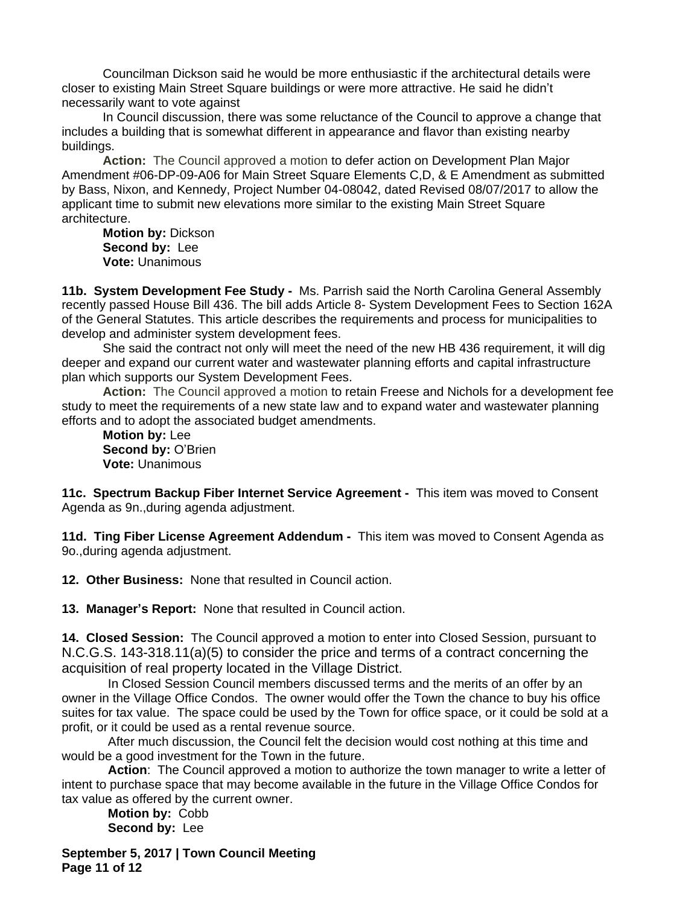Councilman Dickson said he would be more enthusiastic if the architectural details were closer to existing Main Street Square buildings or were more attractive. He said he didn't necessarily want to vote against

In Council discussion, there was some reluctance of the Council to approve a change that includes a building that is somewhat different in appearance and flavor than existing nearby buildings.

**Action:** The Council approved a motion to defer action on Development Plan Major Amendment #06-DP-09-A06 for Main Street Square Elements C,D, & E Amendment as submitted by Bass, Nixon, and Kennedy, Project Number 04-08042, dated Revised 08/07/2017 to allow the applicant time to submit new elevations more similar to the existing Main Street Square architecture.

**Motion by:** Dickson **Second by:** Lee **Vote:** Unanimous

**11b. System Development Fee Study -** Ms. Parrish said the North Carolina General Assembly recently passed House Bill 436. The bill adds Article 8- System Development Fees to Section 162A of the General Statutes. This article describes the requirements and process for municipalities to develop and administer system development fees.

She said the contract not only will meet the need of the new HB 436 requirement, it will dig deeper and expand our current water and wastewater planning efforts and capital infrastructure plan which supports our System Development Fees.

**Action:** The Council approved a motion to retain Freese and Nichols for a development fee study to meet the requirements of a new state law and to expand water and wastewater planning efforts and to adopt the associated budget amendments.

**Motion by:** Lee **Second by:** O'Brien **Vote:** Unanimous

**11c. Spectrum Backup Fiber Internet Service Agreement -** This item was moved to Consent Agenda as 9n.,during agenda adjustment.

**11d. Ting Fiber License Agreement Addendum -** This item was moved to Consent Agenda as 9o.,during agenda adjustment.

**12. Other Business:** None that resulted in Council action.

**13. Manager's Report:** None that resulted in Council action.

**14. Closed Session:** The Council approved a motion to enter into Closed Session, pursuant to N.C.G.S. 143-318.11(a)(5) to consider the price and terms of a contract concerning the acquisition of real property located in the Village District.

In Closed Session Council members discussed terms and the merits of an offer by an owner in the Village Office Condos. The owner would offer the Town the chance to buy his office suites for tax value. The space could be used by the Town for office space, or it could be sold at a profit, or it could be used as a rental revenue source.

After much discussion, the Council felt the decision would cost nothing at this time and would be a good investment for the Town in the future.

**Action**: The Council approved a motion to authorize the town manager to write a letter of intent to purchase space that may become available in the future in the Village Office Condos for tax value as offered by the current owner.

**Motion by:** Cobb **Second by:** Lee

**September 5, 2017 | Town Council Meeting Page 11 of 12**